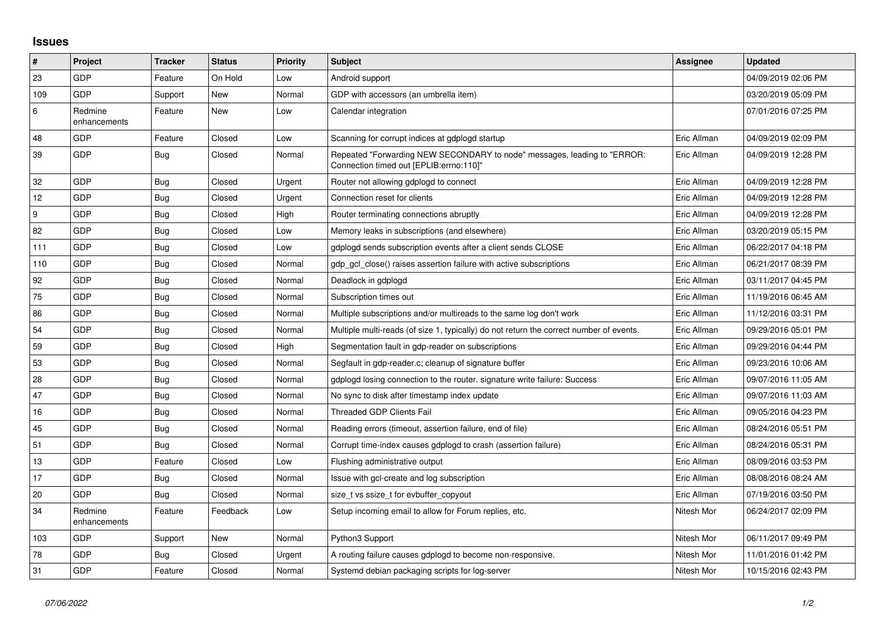## **Issues**

| $\vert$ # | Project                 | <b>Tracker</b> | <b>Status</b> | <b>Priority</b> | <b>Subject</b>                                                                                                      | Assignee    | <b>Updated</b>      |
|-----------|-------------------------|----------------|---------------|-----------------|---------------------------------------------------------------------------------------------------------------------|-------------|---------------------|
| 23        | GDP                     | Feature        | On Hold       | Low             | Android support                                                                                                     |             | 04/09/2019 02:06 PM |
| 109       | <b>GDP</b>              | Support        | <b>New</b>    | Normal          | GDP with accessors (an umbrella item)                                                                               |             | 03/20/2019 05:09 PM |
| 6         | Redmine<br>enhancements | Feature        | New           | Low             | Calendar integration                                                                                                |             | 07/01/2016 07:25 PM |
| 48        | <b>GDP</b>              | Feature        | Closed        | Low             | Scanning for corrupt indices at gdplogd startup                                                                     | Eric Allman | 04/09/2019 02:09 PM |
| 39        | GDP                     | <b>Bug</b>     | Closed        | Normal          | Repeated "Forwarding NEW SECONDARY to node" messages, leading to "ERROR:<br>Connection timed out [EPLIB:errno:110]" | Eric Allman | 04/09/2019 12:28 PM |
| 32        | <b>GDP</b>              | Bug            | Closed        | Urgent          | Router not allowing gdplogd to connect                                                                              | Eric Allman | 04/09/2019 12:28 PM |
| 12        | GDP                     | Bug            | Closed        | Urgent          | Connection reset for clients                                                                                        | Eric Allman | 04/09/2019 12:28 PM |
| 9         | GDP                     | <b>Bug</b>     | Closed        | High            | Router terminating connections abruptly                                                                             | Eric Allman | 04/09/2019 12:28 PM |
| 82        | <b>GDP</b>              | Bug            | Closed        | Low             | Memory leaks in subscriptions (and elsewhere)                                                                       | Eric Allman | 03/20/2019 05:15 PM |
| 111       | <b>GDP</b>              | Bug            | Closed        | Low             | gdplogd sends subscription events after a client sends CLOSE                                                        | Eric Allman | 06/22/2017 04:18 PM |
| 110       | <b>GDP</b>              | Bug            | Closed        | Normal          | gdp gcl close() raises assertion failure with active subscriptions                                                  | Eric Allman | 06/21/2017 08:39 PM |
| 92        | GDP                     | <b>Bug</b>     | Closed        | Normal          | Deadlock in gdplogd                                                                                                 | Eric Allman | 03/11/2017 04:45 PM |
| 75        | <b>GDP</b>              | Bug            | Closed        | Normal          | Subscription times out                                                                                              | Eric Allman | 11/19/2016 06:45 AM |
| 86        | GDP                     | Bug            | Closed        | Normal          | Multiple subscriptions and/or multireads to the same log don't work                                                 | Eric Allman | 11/12/2016 03:31 PM |
| 54        | GDP                     | <b>Bug</b>     | Closed        | Normal          | Multiple multi-reads (of size 1, typically) do not return the correct number of events.                             | Eric Allman | 09/29/2016 05:01 PM |
| 59        | <b>GDP</b>              | Bug            | Closed        | High            | Segmentation fault in gdp-reader on subscriptions                                                                   | Eric Allman | 09/29/2016 04:44 PM |
| 53        | GDP                     | Bug            | Closed        | Normal          | Segfault in gdp-reader.c; cleanup of signature buffer                                                               | Eric Allman | 09/23/2016 10:06 AM |
| 28        | <b>GDP</b>              | <b>Bug</b>     | Closed        | Normal          | gdplogd losing connection to the router. signature write failure: Success                                           | Eric Allman | 09/07/2016 11:05 AM |
| 47        | <b>GDP</b>              | <b>Bug</b>     | Closed        | Normal          | No sync to disk after timestamp index update                                                                        | Eric Allman | 09/07/2016 11:03 AM |
| 16        | GDP                     | Bug            | Closed        | Normal          | <b>Threaded GDP Clients Fail</b>                                                                                    | Eric Allman | 09/05/2016 04:23 PM |
| 45        | <b>GDP</b>              | Bug            | Closed        | Normal          | Reading errors (timeout, assertion failure, end of file)                                                            | Eric Allman | 08/24/2016 05:51 PM |
| 51        | <b>GDP</b>              | <b>Bug</b>     | Closed        | Normal          | Corrupt time-index causes gdplogd to crash (assertion failure)                                                      | Eric Allman | 08/24/2016 05:31 PM |
| 13        | <b>GDP</b>              | Feature        | Closed        | Low             | Flushing administrative output                                                                                      | Eric Allman | 08/09/2016 03:53 PM |
| 17        | GDP                     | <b>Bug</b>     | Closed        | Normal          | Issue with gcl-create and log subscription                                                                          | Eric Allman | 08/08/2016 08:24 AM |
| 20        | GDP                     | Bug            | Closed        | Normal          | size_t vs ssize_t for evbuffer_copyout                                                                              | Eric Allman | 07/19/2016 03:50 PM |
| 34        | Redmine<br>enhancements | Feature        | Feedback      | Low             | Setup incoming email to allow for Forum replies, etc.                                                               | Nitesh Mor  | 06/24/2017 02:09 PM |
| 103       | <b>GDP</b>              | Support        | New           | Normal          | Python3 Support                                                                                                     | Nitesh Mor  | 06/11/2017 09:49 PM |
| 78        | <b>GDP</b>              | Bug            | Closed        | Urgent          | A routing failure causes gdplogd to become non-responsive.                                                          | Nitesh Mor  | 11/01/2016 01:42 PM |
| 31        | GDP                     | Feature        | Closed        | Normal          | Systemd debian packaging scripts for log-server                                                                     | Nitesh Mor  | 10/15/2016 02:43 PM |